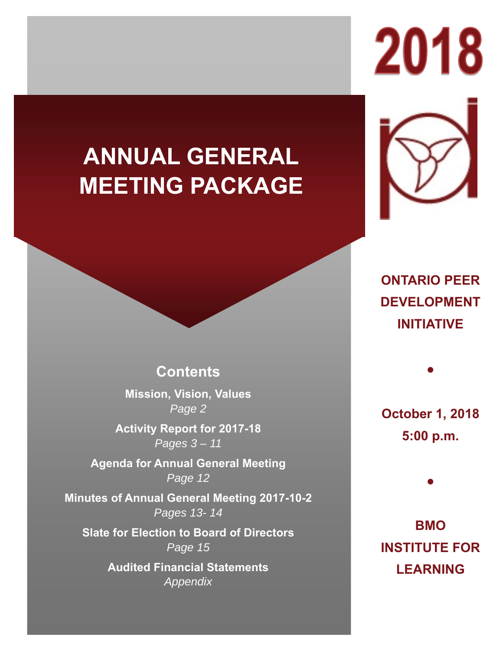# **ANNUAL GENERAL MEETING PACKAGE**

2018

**ONTARIO PEER DEVELOPMENT INITIATIVE** 

# **Contents**

**Mission, Vision, Values** *Page 2*

**Activity Report for 2017-18** *Pages 3 – 11*

**Agenda for Annual General Meeting** *Page 12*

**Minutes of Annual General Meeting 2017-10-2** *Pages 13- 14*

**Slate for Election to Board of Directors** *Page 15*

> **Audited Financial Statements** *Appendix*

**October 1, 2018 5:00 p.m.** 

●

●

**BMO INSTITUTE FOR LEARNING**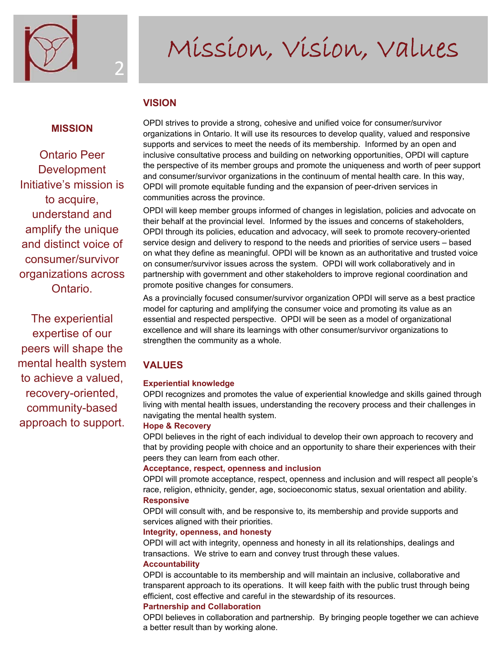

# Mission, Vision, Values

## **VISION**

2

### **MISSION**

Ontario Peer **Development** Initiative's mission is to acquire, understand and amplify the unique and distinct voice of consumer/survivor organizations across Ontario.

The experiential expertise of our peers will shape the mental health system to achieve a valued, recovery-oriented, community-based approach to support.

OPDI strives to provide a strong, cohesive and unified voice for consumer/survivor organizations in Ontario. It will use its resources to develop quality, valued and responsive supports and services to meet the needs of its membership. Informed by an open and inclusive consultative process and building on networking opportunities, OPDI will capture the perspective of its member groups and promote the uniqueness and worth of peer support and consumer/survivor organizations in the continuum of mental health care. In this way, OPDI will promote equitable funding and the expansion of peer-driven services in communities across the province.

OPDI will keep member groups informed of changes in legislation, policies and advocate on their behalf at the provincial level. Informed by the issues and concerns of stakeholders, OPDI through its policies, education and advocacy, will seek to promote recovery-oriented service design and delivery to respond to the needs and priorities of service users – based on what they define as meaningful. OPDI will be known as an authoritative and trusted voice on consumer/survivor issues across the system. OPDI will work collaboratively and in partnership with government and other stakeholders to improve regional coordination and promote positive changes for consumers.

As a provincially focused consumer/survivor organization OPDI will serve as a best practice model for capturing and amplifying the consumer voice and promoting its value as an essential and respected perspective. OPDI will be seen as a model of organizational excellence and will share its learnings with other consumer/survivor organizations to strengthen the community as a whole.

# **VALUES**

### **Experiential knowledge**

OPDI recognizes and promotes the value of experiential knowledge and skills gained through living with mental health issues, understanding the recovery process and their challenges in navigating the mental health system.

#### **Hope & Recovery**

OPDI believes in the right of each individual to develop their own approach to recovery and that by providing people with choice and an opportunity to share their experiences with their peers they can learn from each other.

#### **Acceptance, respect, openness and inclusion**

OPDI will promote acceptance, respect, openness and inclusion and will respect all people's race, religion, ethnicity, gender, age, socioeconomic status, sexual orientation and ability. **Responsive** 

OPDI will consult with, and be responsive to, its membership and provide supports and services aligned with their priorities.

#### **Integrity, openness, and honesty**

OPDI will act with integrity, openness and honesty in all its relationships, dealings and transactions. We strive to earn and convey trust through these values. **Accountability** 

### OPDI is accountable to its membership and will maintain an inclusive, collaborative and transparent approach to its operations. It will keep faith with the public trust through being efficient, cost effective and careful in the stewardship of its resources.

### **Partnership and Collaboration**

OPDI believes in collaboration and partnership. By bringing people together we can achieve a better result than by working alone.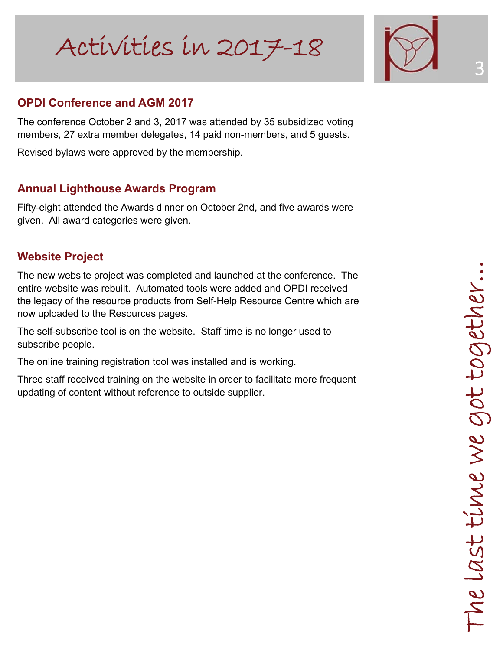

3

# **OPDI Conference and AGM 2017**

The conference October 2 and 3, 2017 was attended by 35 subsidized voting members, 27 extra member delegates, 14 paid non-members, and 5 guests.

Revised bylaws were approved by the membership.

# **Annual Lighthouse Awards Program**

Fifty-eight attended the Awards dinner on October 2nd, and five awards were given. All award categories were given.

# **Website Project**

The new website project was completed and launched at the conference. The entire website was rebuilt. Automated tools were added and OPDI received the legacy of the resource products from Self-Help Resource Centre which are now uploaded to the Resources pages.

The self-subscribe tool is on the website. Staff time is no longer used to subscribe people.

The online training registration tool was installed and is working.

Three staff received training on the website in order to facilitate more frequent updating of content without reference to outside supplier.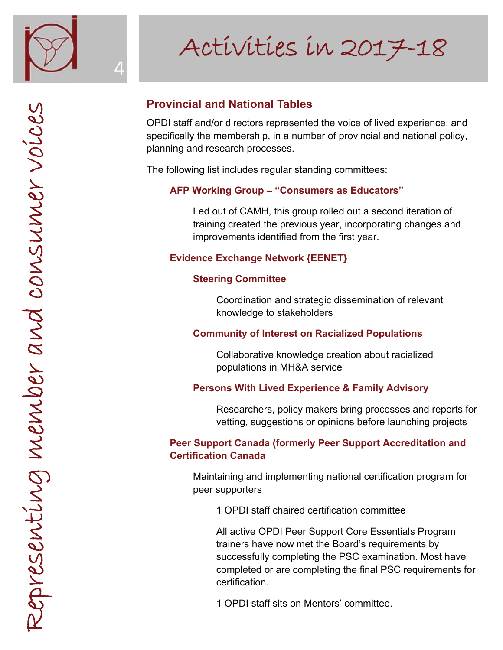

4

# Activities in 2017-18

# **Provincial and National Tables**

OPDI staff and/or directors represented the voice of lived experience, and specifically the membership, in a number of provincial and national policy, planning and research processes.

The following list includes regular standing committees:

# **AFP Working Group – "Consumers as Educators"**

 Led out of CAMH, this group rolled out a second iteration of training created the previous year, incorporating changes and improvements identified from the first year.

# **Evidence Exchange Network {EENET}**

# **Steering Committee**

 Coordination and strategic dissemination of relevant knowledge to stakeholders

# **Community of Interest on Racialized Populations**

 Collaborative knowledge creation about racialized populations in MH&A service

# **Persons With Lived Experience & Family Advisory**

 Researchers, policy makers bring processes and reports for vetting, suggestions or opinions before launching projects

# **Peer Support Canada (formerly Peer Support Accreditation and Certification Canada**

 Maintaining and implementing national certification program for peer supporters

1 OPDI staff chaired certification committee

 All active OPDI Peer Support Core Essentials Program trainers have now met the Board's requirements by successfully completing the PSC examination. Most have completed or are completing the final PSC requirements for certification.

1 OPDI staff sits on Mentors' committee.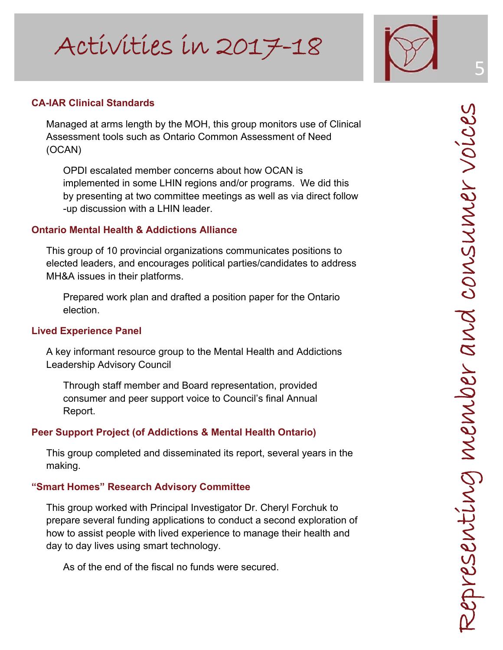

## **CA-IAR Clinical Standards**

 Managed at arms length by the MOH, this group monitors use of Clinical Assessment tools such as Ontario Common Assessment of Need (OCAN)

 OPDI escalated member concerns about how OCAN is implemented in some LHIN regions and/or programs. We did this by presenting at two committee meetings as well as via direct follow -up discussion with a LHIN leader.

### **Ontario Mental Health & Addictions Alliance**

 This group of 10 provincial organizations communicates positions to elected leaders, and encourages political parties/candidates to address MH&A issues in their platforms.

 Prepared work plan and drafted a position paper for the Ontario election.

### **Lived Experience Panel**

 A key informant resource group to the Mental Health and Addictions Leadership Advisory Council

 Through staff member and Board representation, provided consumer and peer support voice to Council's final Annual Report.

### **Peer Support Project (of Addictions & Mental Health Ontario)**

 This group completed and disseminated its report, several years in the making.

### **"Smart Homes" Research Advisory Committee**

 This group worked with Principal Investigator Dr. Cheryl Forchuk to prepare several funding applications to conduct a second exploration of how to assist people with lived experience to manage their health and day to day lives using smart technology.

As of the end of the fiscal no funds were secured.

5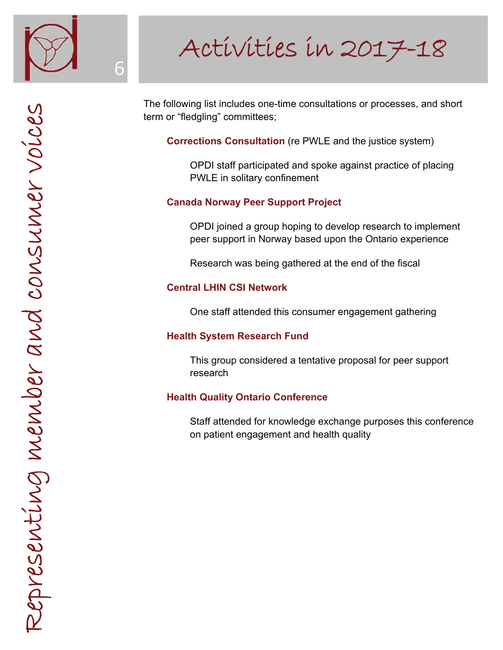

6

# Activities in 2017-18

The following list includes one-time consultations or processes, and short term or "fledgling" committees;

 **Corrections Consultation** (re PWLE and the justice system)

 OPDI staff participated and spoke against practice of placing PWLE in solitary confinement

# **Canada Norway Peer Support Project**

 OPDI joined a group hoping to develop research to implement peer support in Norway based upon the Ontario experience

Research was being gathered at the end of the fiscal

# **Central LHIN CSI Network**

One staff attended this consumer engagement gathering

# **Health System Research Fund**

 This group considered a tentative proposal for peer support research

# **Health Quality Ontario Conference**

 Staff attended for knowledge exchange purposes this conference on patient engagement and health quality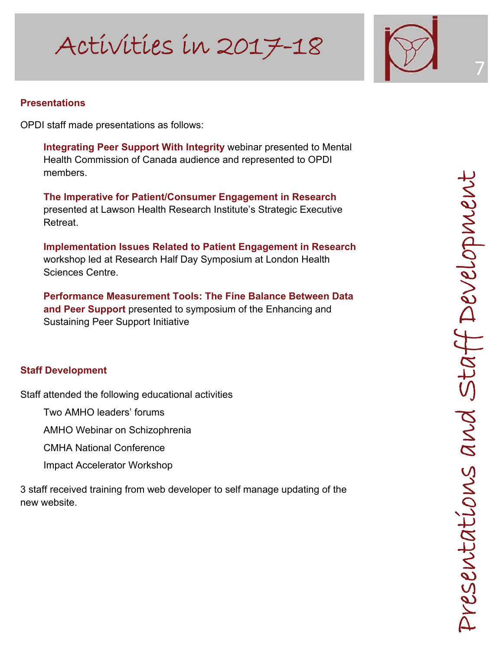

7

# **Presentations**

OPDI staff made presentations as follows:

**Integrating Peer Support With Integrity** webinar presented to Mental Health Commission of Canada audience and represented to OPDI members.

**The Imperative for Patient/Consumer Engagement in Research**  presented at Lawson Health Research Institute's Strategic Executive Retreat.

**Implementation Issues Related to Patient Engagement in Research** workshop led at Research Half Day Symposium at London Health Sciences Centre.

**Performance Measurement Tools: The Fine Balance Between Data and Peer Support** presented to symposium of the Enhancing and Sustaining Peer Support Initiative

# **Staff Development**

Staff attended the following educational activities

Two AMHO leaders' forums

AMHO Webinar on Schizophrenia

CMHA National Conference

Impact Accelerator Workshop

3 staff received training from web developer to self manage updating of the new website.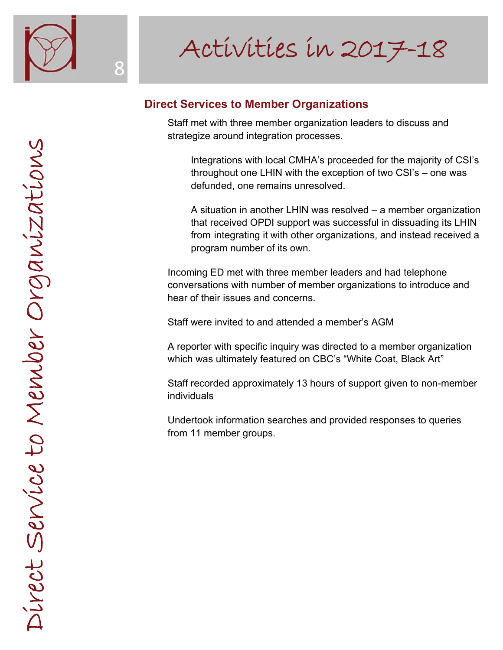

# **Direct Services to Member Organizations**

 Staff met with three member organization leaders to discuss and strategize around integration processes.

 Integrations with local CMHA's proceeded for the majority of CSI's throughout one LHIN with the exception of two CSI's – one was defunded, one remains unresolved.

 A situation in another LHIN was resolved – a member organization that received OPDI support was successful in dissuading its LHIN from integrating it with other organizations, and instead received a program number of its own.

 Incoming ED met with three member leaders and had telephone conversations with number of member organizations to introduce and hear of their issues and concerns.

Staff were invited to and attended a member's AGM

 A reporter with specific inquiry was directed to a member organization which was ultimately featured on CBC's "White Coat, Black Art"

 Staff recorded approximately 13 hours of support given to non-member individuals

 Undertook information searches and provided responses to queries from 11 member groups.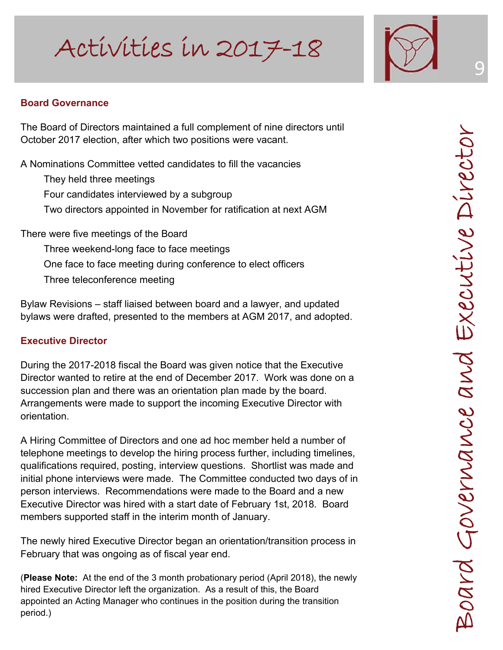<sup>9</sup> Activities in 2017-18



# **Board Governance**

The Board of Directors maintained a full complement of nine directors until October 2017 election, after which two positions were vacant.

A Nominations Committee vetted candidates to fill the vacancies

 They held three meetings Four candidates interviewed by a subgroup Two directors appointed in November for ratification at next AGM

There were five meetings of the Board

 Three weekend-long face to face meetings One face to face meeting during conference to elect officers Three teleconference meeting

Bylaw Revisions – staff liaised between board and a lawyer, and updated bylaws were drafted, presented to the members at AGM 2017, and adopted.

# **Executive Director**

During the 2017-2018 fiscal the Board was given notice that the Executive Director wanted to retire at the end of December 2017. Work was done on a succession plan and there was an orientation plan made by the board. Arrangements were made to support the incoming Executive Director with orientation.

A Hiring Committee of Directors and one ad hoc member held a number of telephone meetings to develop the hiring process further, including timelines, qualifications required, posting, interview questions. Shortlist was made and initial phone interviews were made. The Committee conducted two days of in person interviews. Recommendations were made to the Board and a new Executive Director was hired with a start date of February 1st, 2018. Board members supported staff in the interim month of January.

The newly hired Executive Director began an orientation/transition process in February that was ongoing as of fiscal year end. (**Please Note:** At the end of the 3 month probationary period (April 2018), the newly

hired Executive Director left the organization. As a result of this, the Board appointed an Acting Manager who continues in the position during the transition period.)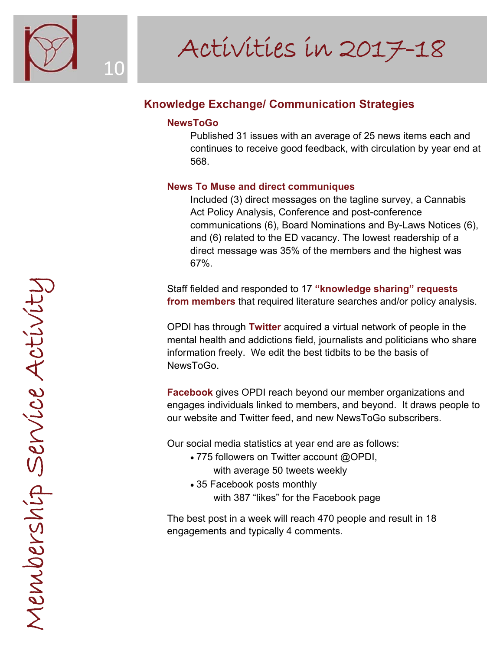

# **Knowledge Exchange/ Communication Strategies**

## **NewsToGo**

 Published 31 issues with an average of 25 news items each and continues to receive good feedback, with circulation by year end at 568.

# **News To Muse and direct communiques**

 Included (3) direct messages on the tagline survey, a Cannabis Act Policy Analysis, Conference and post-conference communications (6), Board Nominations and By-Laws Notices (6), and (6) related to the ED vacancy. The lowest readership of a direct message was 35% of the members and the highest was 67%.

 Staff fielded and responded to 17 **"knowledge sharing" requests from members** that required literature searches and/or policy analysis.

 OPDI has through **Twitter** acquired a virtual network of people in the mental health and addictions field, journalists and politicians who share information freely. We edit the best tidbits to be the basis of NewsToGo.

**Facebook** gives OPDI reach beyond our member organizations and engages individuals linked to members, and beyond. It draws people to our website and Twitter feed, and new NewsToGo subscribers.

Our social media statistics at year end are as follows:

- 775 followers on Twitter account @OPDI, with average 50 tweets weekly
- 35 Facebook posts monthly with 387 "likes" for the Facebook page

 The best post in a week will reach 470 people and result in 18 engagements and typically 4 comments.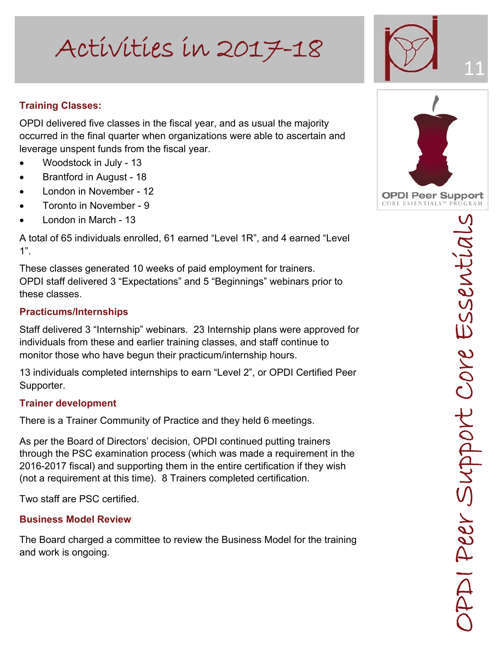# **Training Classes:**

OPDI delivered five classes in the fiscal year, and as usual the majority occurred in the final quarter when organizations were able to ascertain and leverage unspent funds from the fiscal year.

- Woodstock in July 13
- Brantford in August 18
- London in November 12
- Toronto in November 9
- London in March 13

A total of 65 individuals enrolled, 61 earned "Level 1R", and 4 earned "Level  $1"$ .

These classes generated 10 weeks of paid employment for trainers. OPDI staff delivered 3 "Expectations" and 5 "Beginnings" webinars prior to these classes.

# **Practicums/Internships**

Staff delivered 3 "Internship" webinars. 23 Internship plans were approved for individuals from these and earlier training classes, and staff continue to monitor those who have begun their practicum/internship hours.

13 individuals completed internships to earn "Level 2", or OPDI Certified Peer Supporter.

# **Trainer development**

There is a Trainer Community of Practice and they held 6 meetings.

As per the Board of Directors' decision, OPDI continued putting trainers through the PSC examination process (which was made a requirement in the 2016-2017 fiscal) and supporting them in the entire certification if they wish (not a requirement at this time). 8 Trainers completed certification.

Two staff are PSC certified.

# **Business Model Review**

The Board charged a committee to review the Business Model for the training and work is ongoing.

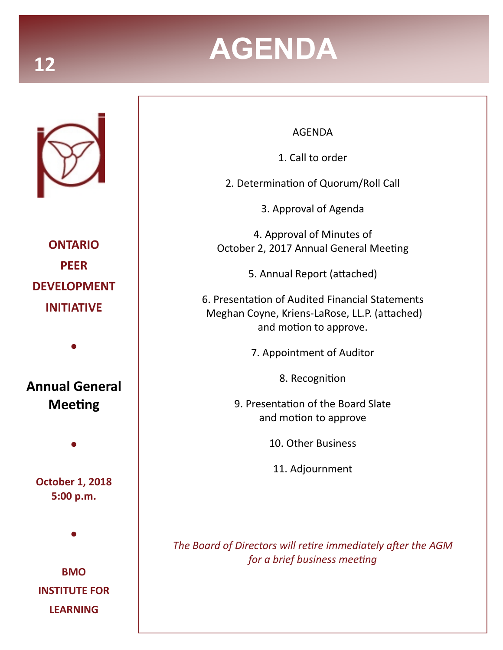# **AGENDA 12**



**ONTARIO PEER DEVELOPMENT INITIATIVE** 

**Annual General Meeting** 

**●**

**October 1, 2018 5:00 p.m.** 

**●**

**●**

**BMO INSTITUTE FOR LEARNING** 

## AGENDA

1. Call to order

2. Determination of Quorum/Roll Call

3. Approval of Agenda

4. Approval of Minutes of October 2, 2017 Annual General Meeting

5. Annual Report (attached)

6. PresentaƟon of Audited Financial Statements Meghan Coyne, Kriens-LaRose, LL.P. (attached) and motion to approve.

7. Appointment of Auditor

8. Recognition

9. Presentation of the Board Slate and motion to approve

10. Other Business

11. Adjournment

*The Board of Directors will retire immediately after the AGM for a brief business meeting*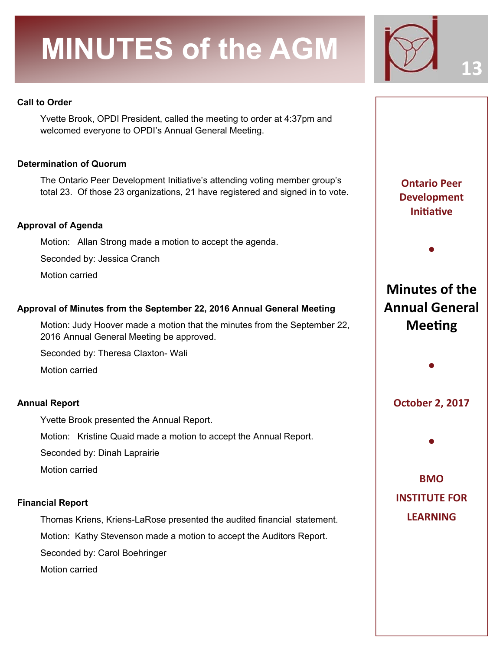# **MINUTES of the AGM**



**13** 

### **Call to Order**

Yvette Brook, OPDI President, called the meeting to order at 4:37pm and welcomed everyone to OPDI's Annual General Meeting.

### **Determination of Quorum**

The Ontario Peer Development Initiative's attending voting member group's total 23. Of those 23 organizations, 21 have registered and signed in to vote.

### **Approval of Agenda**

Motion: Allan Strong made a motion to accept the agenda.

Seconded by: Jessica Cranch

Motion carried

### **Approval of Minutes from the September 22, 2016 Annual General Meeting**

Motion: Judy Hoover made a motion that the minutes from the September 22, 2016 Annual General Meeting be approved.

Seconded by: Theresa Claxton- Wali

Motion carried

### **Annual Report**

Yvette Brook presented the Annual Report.

Motion: Kristine Quaid made a motion to accept the Annual Report.

Seconded by: Dinah Laprairie

Motion carried

### **Financial Report**

Thomas Kriens, Kriens-LaRose presented the audited financial statement.

Motion: Kathy Stevenson made a motion to accept the Auditors Report.

Seconded by: Carol Boehringer

Motion carried

**Ontario Peer Development IniƟaƟve** 

**●**

**Minutes of the Annual General Meeting** 

**October 2, 2017** 

**●**

**●**

**BMO INSTITUTE FOR LEARNING**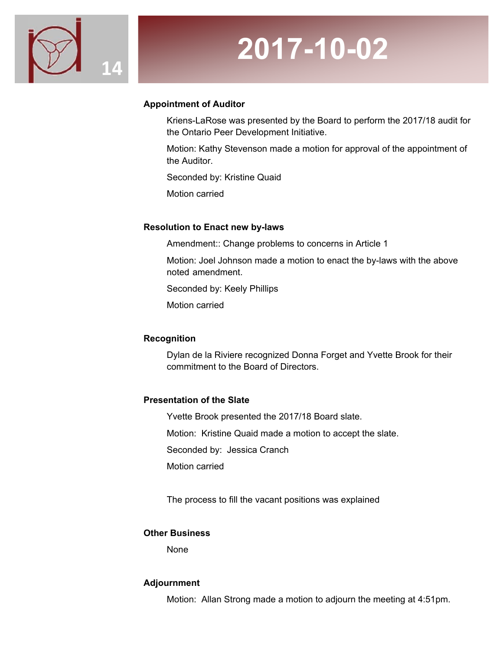

# **2017-10-02**

## **Appointment of Auditor**

Kriens-LaRose was presented by the Board to perform the 2017/18 audit for the Ontario Peer Development Initiative.

Motion: Kathy Stevenson made a motion for approval of the appointment of the Auditor.

Seconded by: Kristine Quaid

Motion carried

### **Resolution to Enact new by-laws**

Amendment:: Change problems to concerns in Article 1

Motion: Joel Johnson made a motion to enact the by-laws with the above noted amendment.

Seconded by: Keely Phillips

Motion carried

### **Recognition**

Dylan de la Riviere recognized Donna Forget and Yvette Brook for their commitment to the Board of Directors.

### **Presentation of the Slate**

Yvette Brook presented the 2017/18 Board slate.

Motion: Kristine Quaid made a motion to accept the slate.

Seconded by: Jessica Cranch

Motion carried

The process to fill the vacant positions was explained

### **Other Business**

None

### **Adjournment**

Motion: Allan Strong made a motion to adjourn the meeting at 4:51pm.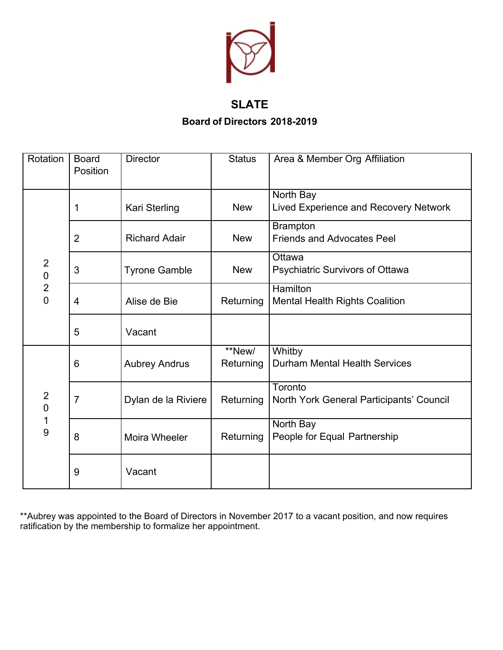

# **SLATE**

**Board of Directors 2018-2019**

| Rotation                                                             | <b>Board</b><br>Position | <b>Director</b>      | <b>Status</b>       | Area & Member Org Affiliation                            |
|----------------------------------------------------------------------|--------------------------|----------------------|---------------------|----------------------------------------------------------|
| $\overline{2}$<br>$\overline{0}$<br>$\overline{c}$<br>$\overline{0}$ | 1                        | Kari Sterling        | <b>New</b>          | North Bay<br>Lived Experience and Recovery Network       |
|                                                                      | $\overline{2}$           | <b>Richard Adair</b> | <b>New</b>          | <b>Brampton</b><br><b>Friends and Advocates Peel</b>     |
|                                                                      | 3                        | <b>Tyrone Gamble</b> | <b>New</b>          | Ottawa<br><b>Psychiatric Survivors of Ottawa</b>         |
|                                                                      | $\overline{4}$           | Alise de Bie         | Returning           | <b>Hamilton</b><br><b>Mental Health Rights Coalition</b> |
|                                                                      | 5                        | Vacant               |                     |                                                          |
| $\overline{2}$<br>$\mathbf 0$<br>1<br>9                              | $6\phantom{1}6$          | <b>Aubrey Andrus</b> | **New/<br>Returning | Whitby<br><b>Durham Mental Health Services</b>           |
|                                                                      | $\overline{7}$           | Dylan de la Riviere  | Returning           | Toronto<br>North York General Participants' Council      |
|                                                                      | 8                        | Moira Wheeler        | Returning           | North Bay<br>People for Equal Partnership                |
|                                                                      | 9                        | Vacant               |                     |                                                          |

\*\*Aubrey was appointed to the Board of Directors in November 2017 to a vacant position, and now requires ratification by the membership to formalize her appointment.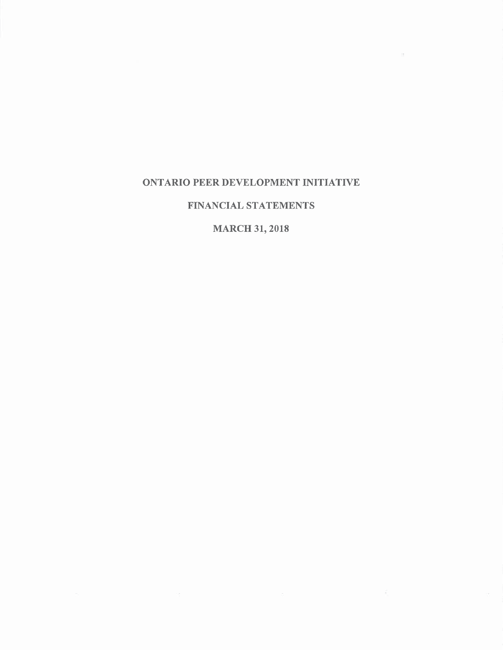### **ONTARIO PEER DEVELOPMENT INITIATIVE**

 $\sim$ 

# FINANCIAL STATEMENTS

# **MARCH 31, 2018**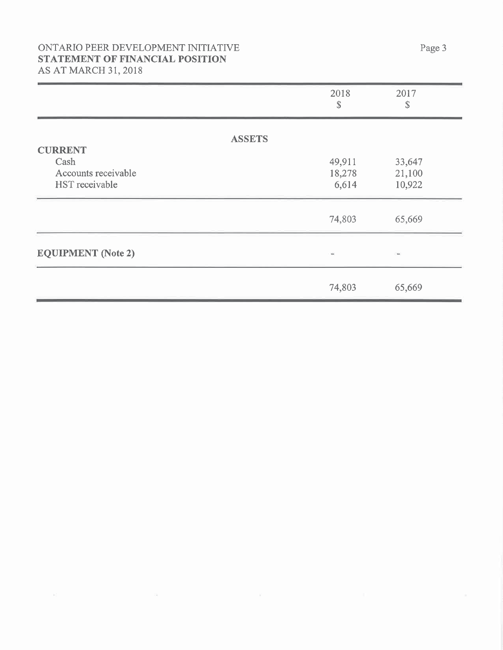# ONTARIO PEER DEVELOPMENT INITIATIVE STATEMENT OF FINANCIAL POSITION **AS AT MARCH 31, 2018**

|                                 | 2018<br>\$ | 2017<br>\$     |
|---------------------------------|------------|----------------|
| <b>ASSETS</b><br><b>CURRENT</b> |            |                |
| Cash                            | 49,911     | 33,647         |
| Accounts receivable             | 18,278     | 21,100         |
| HST receivable                  | 6,614      | 10,922         |
|                                 | 74,803     | 65,669         |
| <b>EQUIPMENT</b> (Note 2)       | $\sim$     | $\blacksquare$ |
|                                 | 74,803     | 65,669         |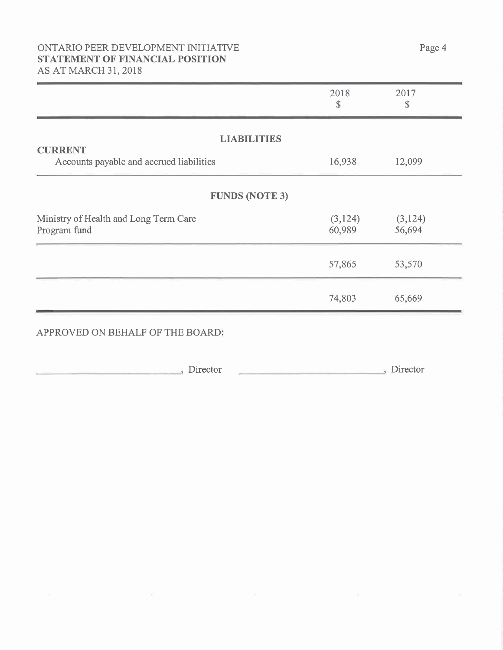# ONTARIO PEER DEVELOPMENT INITIATIVE STATEMENT OF FINANCIAL POSITION AS AT MARCH 31, 2018

|                                                            | 2018<br>$\mathcal{S}$ | 2017<br>\$         |
|------------------------------------------------------------|-----------------------|--------------------|
| <b>LIABILITIES</b>                                         |                       |                    |
| <b>CURRENT</b><br>Accounts payable and accrued liabilities | 16,938                | 12,099             |
| <b>FUNDS (NOTE 3)</b>                                      |                       |                    |
| Ministry of Health and Long Term Care<br>Program fund      | (3, 124)<br>60,989    | (3, 124)<br>56,694 |
|                                                            | 57,865                | 53,570             |
|                                                            | 74,803                | 65,669             |

# APPROVED ON BEHALF OF THE BOARD:

 $\Box$  Director  $\Box$ , Director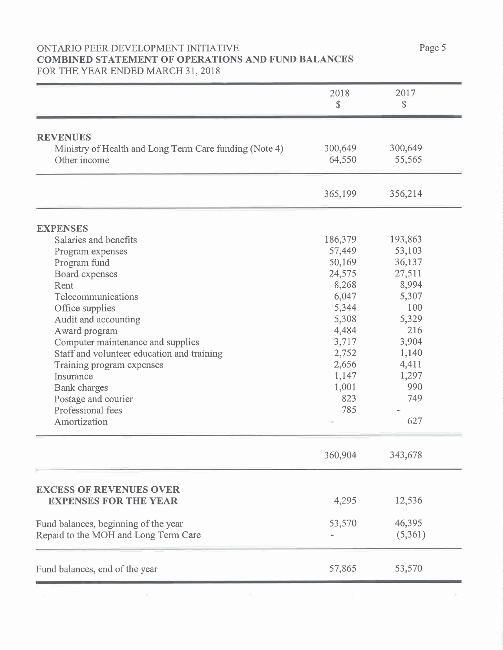### ONTARIO PEER DEVELOPMENT INITIATIVE **COMBINED STATEMENT OF OPERATIONS AND FUND BALANCES** FOR THE YEAR ENDED MARCH 31, 2018

|                                                                           | 2018    | 2017    |
|---------------------------------------------------------------------------|---------|---------|
|                                                                           | \$      | \$      |
|                                                                           |         |         |
| <b>REVENUES</b><br>Ministry of Health and Long Term Care funding (Note 4) | 300,649 | 300,649 |
| Other income                                                              | 64,550  | 55,565  |
|                                                                           |         |         |
|                                                                           | 365,199 | 356,214 |
| <b>EXPENSES</b>                                                           |         |         |
| Salaries and benefits                                                     | 186,379 | 193,863 |
| Program expenses                                                          | 57,449  | 53,103  |
| Program fund                                                              | 50,169  | 36,137  |
| Board expenses                                                            | 24,575  | 27,511  |
| Rent                                                                      | 8,268   | 8,994   |
| Telecommunications                                                        | 6,047   | 5,307   |
| Office supplies                                                           | 5,344   | 100     |
| Audit and accounting                                                      | 5,308   | 5,329   |
| Award program                                                             | 4,484   | 216     |
| Computer maintenance and supplies                                         | 3,717   | 3,904   |
| Staff and volunteer education and training                                | 2,752   | 1,140   |
| Training program expenses                                                 | 2,656   | 4,411   |
| Insurance                                                                 | 1,147   | 1,297   |
| <b>Bank</b> charges                                                       | 1,001   | 990     |
| Postage and courier                                                       | 823     | 749     |
| Professional fees                                                         | 785     |         |
| Amortization                                                              |         | 627     |
|                                                                           | 360,904 | 343,678 |
|                                                                           |         |         |
| <b>EXCESS OF REVENUES OVER</b><br><b>EXPENSES FOR THE YEAR</b>            | 4,295   | 12,536  |
| Fund balances, beginning of the year                                      | 53,570  | 46,395  |
| Repaid to the MOH and Long Term Care                                      |         | (5,361) |
| Fund balances, end of the year                                            | 57,865  | 53,570  |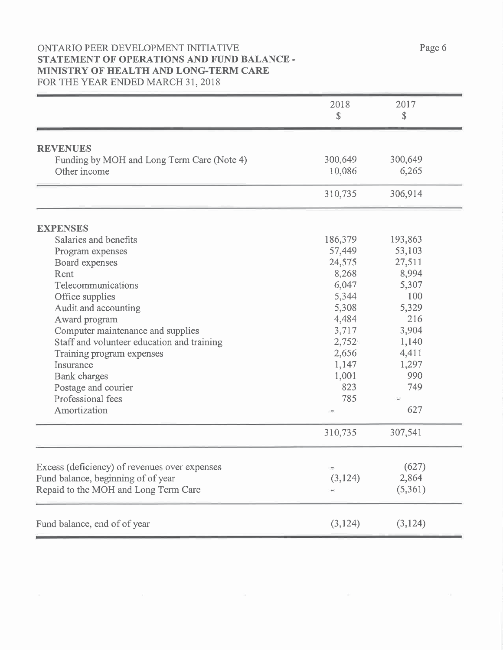### ONTARIO PEER DEVELOPMENT INITIATIVE STATEMENT OF OPERATIONS AND FUND BALANCE -MINISTRY OF HEALTH AND LONG-TERM CARE FOR THE YEAR ENDED MARCH 31, 2018

|                                               | 2018<br>\$ | 2017<br>\$ |
|-----------------------------------------------|------------|------------|
| <b>REVENUES</b>                               |            |            |
| Funding by MOH and Long Term Care (Note 4)    | 300,649    | 300,649    |
| Other income                                  | 10,086     | 6,265      |
|                                               | 310,735    | 306,914    |
| <b>EXPENSES</b>                               |            |            |
| Salaries and benefits                         | 186,379    | 193,863    |
| Program expenses                              | 57,449     | 53,103     |
| Board expenses                                | 24,575     | 27,511     |
| Rent                                          | 8,268      | 8,994      |
| Telecommunications                            | 6,047      | 5,307      |
| Office supplies                               | 5,344      | 100        |
| Audit and accounting                          | 5,308      | 5,329      |
| Award program                                 | 4,484      | 216        |
| Computer maintenance and supplies             | 3,717      | 3,904      |
| Staff and volunteer education and training    | 2,752      | 1,140      |
| Training program expenses                     | 2,656      | 4,411      |
| Insurance                                     | 1,147      | 1,297      |
| <b>Bank</b> charges                           | 1,001      | 990        |
| Postage and courier                           | 823        | 749        |
| Professional fees                             | 785        |            |
| Amortization                                  |            | 627        |
|                                               | 310,735    | 307,541    |
|                                               |            |            |
| Excess (deficiency) of revenues over expenses |            | (627)      |
| Fund balance, beginning of of year            | (3, 124)   | 2,864      |
| Repaid to the MOH and Long Term Care          |            | (5,361)    |
| Fund balance, end of of year                  | (3, 124)   | (3, 124)   |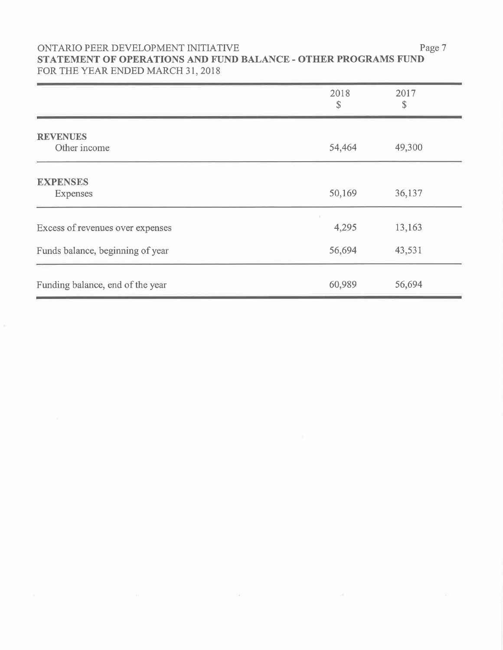## ONTARIO PEER DEVELOPMENT INITIATIVE STATEMENT OF OPERATIONS AND FUND BALANCE - OTHER PROGRAMS FUND FOR THE YEAR ENDED MARCH 31, 2018

|                                    | 2018<br>\$ | 2017<br>\$ |
|------------------------------------|------------|------------|
| <b>REVENUES</b><br>Other income    | 54,464     | 49,300     |
| <b>EXPENSES</b><br><b>Expenses</b> | 50,169     | 36,137     |
| Excess of revenues over expenses   | 4,295      | 13,163     |
| Funds balance, beginning of year   | 56,694     | 43,531     |
| Funding balance, end of the year   | 60,989     | 56,694     |

Page 7